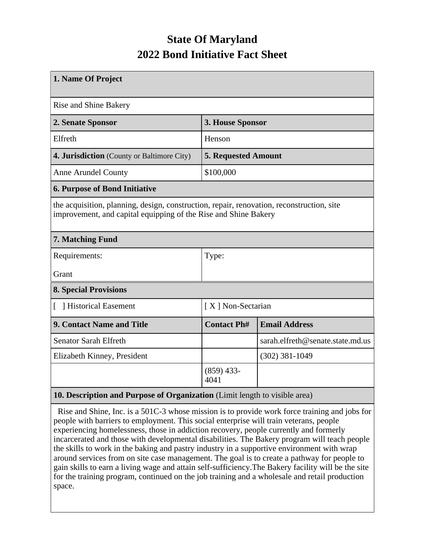## **State Of Maryland 2022 Bond Initiative Fact Sheet**

| 1. Name Of Project                                                                                                                                           |                            |                                  |  |  |  |  |  |
|--------------------------------------------------------------------------------------------------------------------------------------------------------------|----------------------------|----------------------------------|--|--|--|--|--|
| <b>Rise and Shine Bakery</b>                                                                                                                                 |                            |                                  |  |  |  |  |  |
| 2. Senate Sponsor                                                                                                                                            | 3. House Sponsor           |                                  |  |  |  |  |  |
| Elfreth                                                                                                                                                      | Henson                     |                                  |  |  |  |  |  |
| 4. Jurisdiction (County or Baltimore City)                                                                                                                   | <b>5. Requested Amount</b> |                                  |  |  |  |  |  |
| <b>Anne Arundel County</b>                                                                                                                                   | \$100,000                  |                                  |  |  |  |  |  |
| <b>6. Purpose of Bond Initiative</b>                                                                                                                         |                            |                                  |  |  |  |  |  |
| the acquisition, planning, design, construction, repair, renovation, reconstruction, site<br>improvement, and capital equipping of the Rise and Shine Bakery |                            |                                  |  |  |  |  |  |
| 7. Matching Fund                                                                                                                                             |                            |                                  |  |  |  |  |  |
| Requirements:                                                                                                                                                | Type:                      |                                  |  |  |  |  |  |
| Grant                                                                                                                                                        |                            |                                  |  |  |  |  |  |
| <b>8. Special Provisions</b>                                                                                                                                 |                            |                                  |  |  |  |  |  |
| [ ] Historical Easement                                                                                                                                      | [X] Non-Sectarian          |                                  |  |  |  |  |  |
| 9. Contact Name and Title                                                                                                                                    | <b>Contact Ph#</b>         | <b>Email Address</b>             |  |  |  |  |  |
| <b>Senator Sarah Elfreth</b>                                                                                                                                 |                            | sarah.elfreth@senate.state.md.us |  |  |  |  |  |
| Elizabeth Kinney, President                                                                                                                                  |                            | $(302)$ 381-1049                 |  |  |  |  |  |
|                                                                                                                                                              | $(859)$ 433-<br>4041       |                                  |  |  |  |  |  |
| 10. Description and Purpose of Organization (Limit length to visible area)                                                                                   |                            |                                  |  |  |  |  |  |

 Rise and Shine, Inc. is a 501C-3 whose mission is to provide work force training and jobs for people with barriers to employment. This social enterprise will train veterans, people experiencing homelessness, those in addiction recovery, people currently and formerly incarcerated and those with developmental disabilities. The Bakery program will teach people the skills to work in the baking and pastry industry in a supportive environment with wrap around services from on site case management. The goal is to create a pathway for people to gain skills to earn a living wage and attain self-sufficiency.The Bakery facility will be the site for the training program, continued on the job training and a wholesale and retail production space.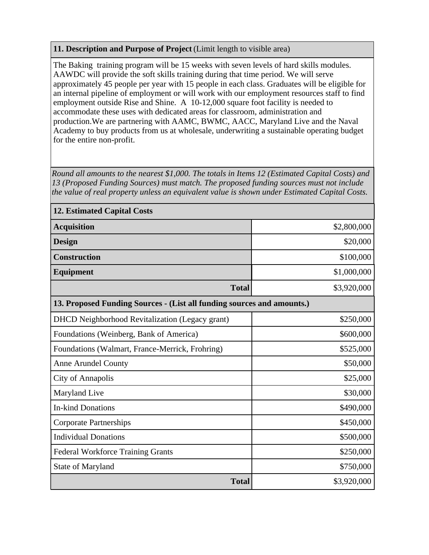## **11. Description and Purpose of Project** (Limit length to visible area)

The Baking training program will be 15 weeks with seven levels of hard skills modules. AAWDC will provide the soft skills training during that time period. We will serve approximately 45 people per year with 15 people in each class. Graduates will be eligible for an internal pipeline of employment or will work with our employment resources staff to find employment outside Rise and Shine. A 10-12,000 square foot facility is needed to accommodate these uses with dedicated areas for classroom, administration and production.We are partnering with AAMC, BWMC, AACC, Maryland Live and the Naval Academy to buy products from us at wholesale, underwriting a sustainable operating budget for the entire non-profit.

*Round all amounts to the nearest \$1,000. The totals in Items 12 (Estimated Capital Costs) and 13 (Proposed Funding Sources) must match. The proposed funding sources must not include the value of real property unless an equivalent value is shown under Estimated Capital Costs.*

| <b>12. Estimated Capital Costs</b>                                     |             |  |  |  |  |  |
|------------------------------------------------------------------------|-------------|--|--|--|--|--|
| <b>Acquisition</b>                                                     | \$2,800,000 |  |  |  |  |  |
| <b>Design</b>                                                          | \$20,000    |  |  |  |  |  |
| <b>Construction</b>                                                    | \$100,000   |  |  |  |  |  |
| <b>Equipment</b>                                                       | \$1,000,000 |  |  |  |  |  |
| <b>Total</b>                                                           | \$3,920,000 |  |  |  |  |  |
| 13. Proposed Funding Sources - (List all funding sources and amounts.) |             |  |  |  |  |  |
| <b>DHCD</b> Neighborhood Revitalization (Legacy grant)                 | \$250,000   |  |  |  |  |  |
| Foundations (Weinberg, Bank of America)                                | \$600,000   |  |  |  |  |  |
| Foundations (Walmart, France-Merrick, Frohring)                        | \$525,000   |  |  |  |  |  |
| <b>Anne Arundel County</b>                                             | \$50,000    |  |  |  |  |  |
| City of Annapolis                                                      | \$25,000    |  |  |  |  |  |
| Maryland Live                                                          | \$30,000    |  |  |  |  |  |
| <b>In-kind Donations</b>                                               | \$490,000   |  |  |  |  |  |
| <b>Corporate Partnerships</b>                                          | \$450,000   |  |  |  |  |  |
| <b>Individual Donations</b>                                            | \$500,000   |  |  |  |  |  |
| <b>Federal Workforce Training Grants</b>                               | \$250,000   |  |  |  |  |  |
| <b>State of Maryland</b>                                               | \$750,000   |  |  |  |  |  |
| <b>Total</b>                                                           | \$3,920,000 |  |  |  |  |  |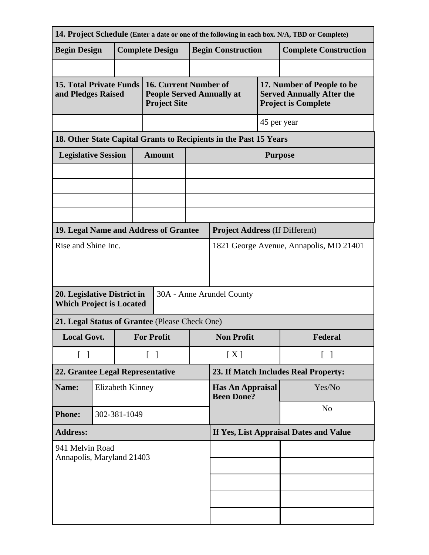| 14. Project Schedule (Enter a date or one of the following in each box. N/A, TBD or Complete) |              |                  |                    |                                                                                  |                                              |                                                                   |             |                                                                                              |  |  |
|-----------------------------------------------------------------------------------------------|--------------|------------------|--------------------|----------------------------------------------------------------------------------|----------------------------------------------|-------------------------------------------------------------------|-------------|----------------------------------------------------------------------------------------------|--|--|
| <b>Begin Design</b>                                                                           |              |                  |                    | <b>Complete Design</b>                                                           |                                              | <b>Begin Construction</b>                                         |             | <b>Complete Construction</b>                                                                 |  |  |
|                                                                                               |              |                  |                    |                                                                                  |                                              |                                                                   |             |                                                                                              |  |  |
| <b>15. Total Private Funds</b><br>and Pledges Raised                                          |              |                  |                    | 16. Current Number of<br><b>People Served Annually at</b><br><b>Project Site</b> |                                              |                                                                   |             | 17. Number of People to be<br><b>Served Annually After the</b><br><b>Project is Complete</b> |  |  |
|                                                                                               |              |                  |                    |                                                                                  |                                              |                                                                   | 45 per year |                                                                                              |  |  |
|                                                                                               |              |                  |                    |                                                                                  |                                              | 18. Other State Capital Grants to Recipients in the Past 15 Years |             |                                                                                              |  |  |
| <b>Legislative Session</b>                                                                    |              |                  |                    | <b>Amount</b>                                                                    |                                              | <b>Purpose</b>                                                    |             |                                                                                              |  |  |
|                                                                                               |              |                  |                    |                                                                                  |                                              |                                                                   |             |                                                                                              |  |  |
|                                                                                               |              |                  |                    |                                                                                  |                                              |                                                                   |             |                                                                                              |  |  |
|                                                                                               |              |                  |                    |                                                                                  |                                              |                                                                   |             |                                                                                              |  |  |
|                                                                                               |              |                  |                    |                                                                                  |                                              |                                                                   |             |                                                                                              |  |  |
| 19. Legal Name and Address of Grantee                                                         |              |                  |                    |                                                                                  | <b>Project Address (If Different)</b>        |                                                                   |             |                                                                                              |  |  |
| Rise and Shine Inc.                                                                           |              |                  |                    |                                                                                  | 1821 George Avenue, Annapolis, MD 21401      |                                                                   |             |                                                                                              |  |  |
| 20. Legislative District in<br>30A - Anne Arundel County<br><b>Which Project is Located</b>   |              |                  |                    |                                                                                  |                                              |                                                                   |             |                                                                                              |  |  |
| 21. Legal Status of Grantee (Please Check One)                                                |              |                  |                    |                                                                                  |                                              |                                                                   |             |                                                                                              |  |  |
| <b>Local Govt.</b>                                                                            |              |                  | <b>For Profit</b>  |                                                                                  | <b>Non Profit</b>                            |                                                                   | Federal     |                                                                                              |  |  |
| $\begin{bmatrix} 1 \end{bmatrix}$                                                             |              |                  | $\lceil \; \rceil$ |                                                                                  | [X]                                          | $\lceil \; \rceil$                                                |             |                                                                                              |  |  |
| 22. Grantee Legal Representative                                                              |              |                  |                    |                                                                                  |                                              | 23. If Match Includes Real Property:                              |             |                                                                                              |  |  |
| Name:                                                                                         |              | Elizabeth Kinney |                    |                                                                                  | <b>Has An Appraisal</b><br><b>Been Done?</b> |                                                                   | Yes/No      |                                                                                              |  |  |
| <b>Phone:</b>                                                                                 | 302-381-1049 |                  |                    |                                                                                  |                                              | N <sub>o</sub>                                                    |             |                                                                                              |  |  |
| <b>Address:</b>                                                                               |              |                  |                    |                                                                                  | If Yes, List Appraisal Dates and Value       |                                                                   |             |                                                                                              |  |  |
| 941 Melvin Road<br>Annapolis, Maryland 21403                                                  |              |                  |                    |                                                                                  |                                              |                                                                   |             |                                                                                              |  |  |
|                                                                                               |              |                  |                    |                                                                                  |                                              |                                                                   |             |                                                                                              |  |  |
|                                                                                               |              |                  |                    |                                                                                  |                                              |                                                                   |             |                                                                                              |  |  |
|                                                                                               |              |                  |                    |                                                                                  |                                              |                                                                   |             |                                                                                              |  |  |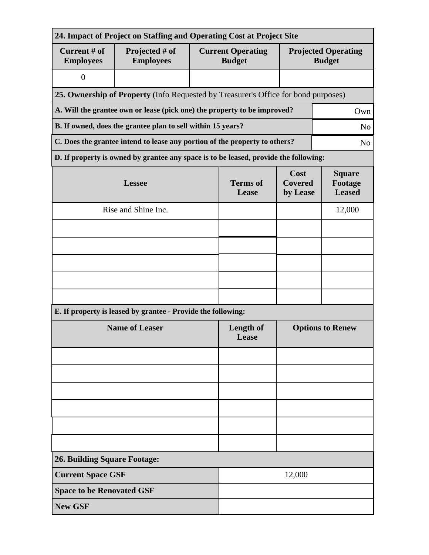| 24. Impact of Project on Staffing and Operating Cost at Project Site                         |                                                                                      |                          |                                           |                                             |        |  |  |  |
|----------------------------------------------------------------------------------------------|--------------------------------------------------------------------------------------|--------------------------|-------------------------------------------|---------------------------------------------|--------|--|--|--|
| Current # of<br><b>Employees</b>                                                             | Projected # of<br><b>Employees</b>                                                   |                          | <b>Current Operating</b><br><b>Budget</b> | <b>Projected Operating</b><br><b>Budget</b> |        |  |  |  |
| $\overline{0}$                                                                               |                                                                                      |                          |                                           |                                             |        |  |  |  |
| 25. Ownership of Property (Info Requested by Treasurer's Office for bond purposes)           |                                                                                      |                          |                                           |                                             |        |  |  |  |
| A. Will the grantee own or lease (pick one) the property to be improved?<br>Own              |                                                                                      |                          |                                           |                                             |        |  |  |  |
| B. If owned, does the grantee plan to sell within 15 years?<br>N <sub>o</sub>                |                                                                                      |                          |                                           |                                             |        |  |  |  |
| C. Does the grantee intend to lease any portion of the property to others?<br>N <sub>o</sub> |                                                                                      |                          |                                           |                                             |        |  |  |  |
|                                                                                              | D. If property is owned by grantee any space is to be leased, provide the following: |                          |                                           |                                             |        |  |  |  |
|                                                                                              | <b>Lessee</b>                                                                        | <b>Terms</b> of<br>Lease | Cost<br><b>Covered</b><br>by Lease        | <b>Square</b><br>Footage<br><b>Leased</b>   |        |  |  |  |
|                                                                                              | Rise and Shine Inc.                                                                  |                          |                                           |                                             | 12,000 |  |  |  |
|                                                                                              |                                                                                      |                          |                                           |                                             |        |  |  |  |
|                                                                                              |                                                                                      |                          |                                           |                                             |        |  |  |  |
|                                                                                              |                                                                                      |                          |                                           |                                             |        |  |  |  |
|                                                                                              |                                                                                      |                          |                                           |                                             |        |  |  |  |
|                                                                                              |                                                                                      |                          |                                           |                                             |        |  |  |  |
|                                                                                              | E. If property is leased by grantee - Provide the following:                         |                          |                                           |                                             |        |  |  |  |
| <b>Name of Leaser</b>                                                                        |                                                                                      |                          | <b>Length of</b><br>Lease                 | <b>Options to Renew</b>                     |        |  |  |  |
|                                                                                              |                                                                                      |                          |                                           |                                             |        |  |  |  |
|                                                                                              |                                                                                      |                          |                                           |                                             |        |  |  |  |
|                                                                                              |                                                                                      |                          |                                           |                                             |        |  |  |  |
|                                                                                              |                                                                                      |                          |                                           |                                             |        |  |  |  |
|                                                                                              |                                                                                      |                          |                                           |                                             |        |  |  |  |
|                                                                                              |                                                                                      |                          |                                           |                                             |        |  |  |  |
| <b>26. Building Square Footage:</b>                                                          |                                                                                      |                          |                                           |                                             |        |  |  |  |
|                                                                                              | <b>Current Space GSF</b><br>12,000                                                   |                          |                                           |                                             |        |  |  |  |
| <b>Space to be Renovated GSF</b>                                                             |                                                                                      |                          |                                           |                                             |        |  |  |  |
| <b>New GSF</b>                                                                               |                                                                                      |                          |                                           |                                             |        |  |  |  |